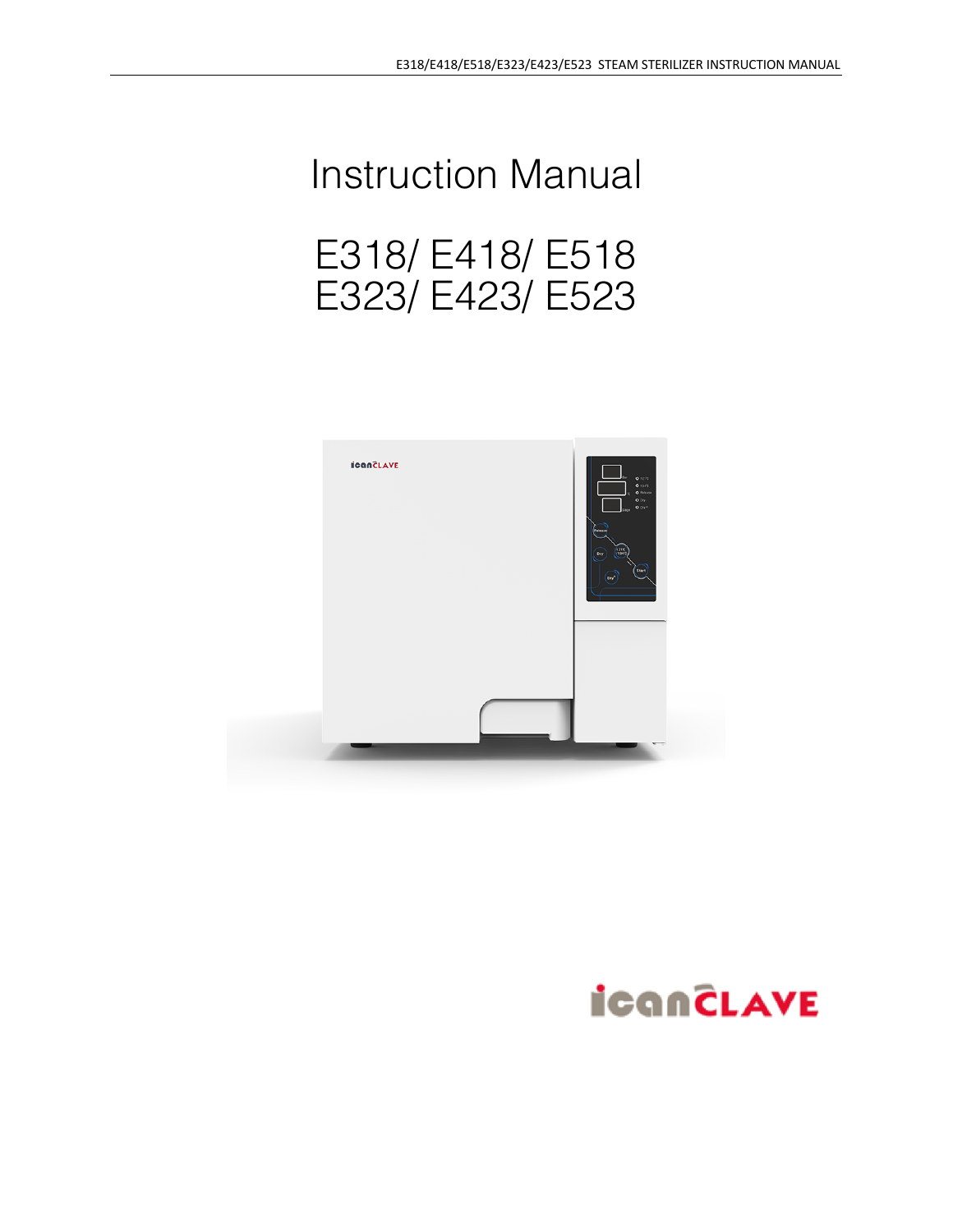# Instruction Manual E318/ E418/ E518 E323/ E423/ E523



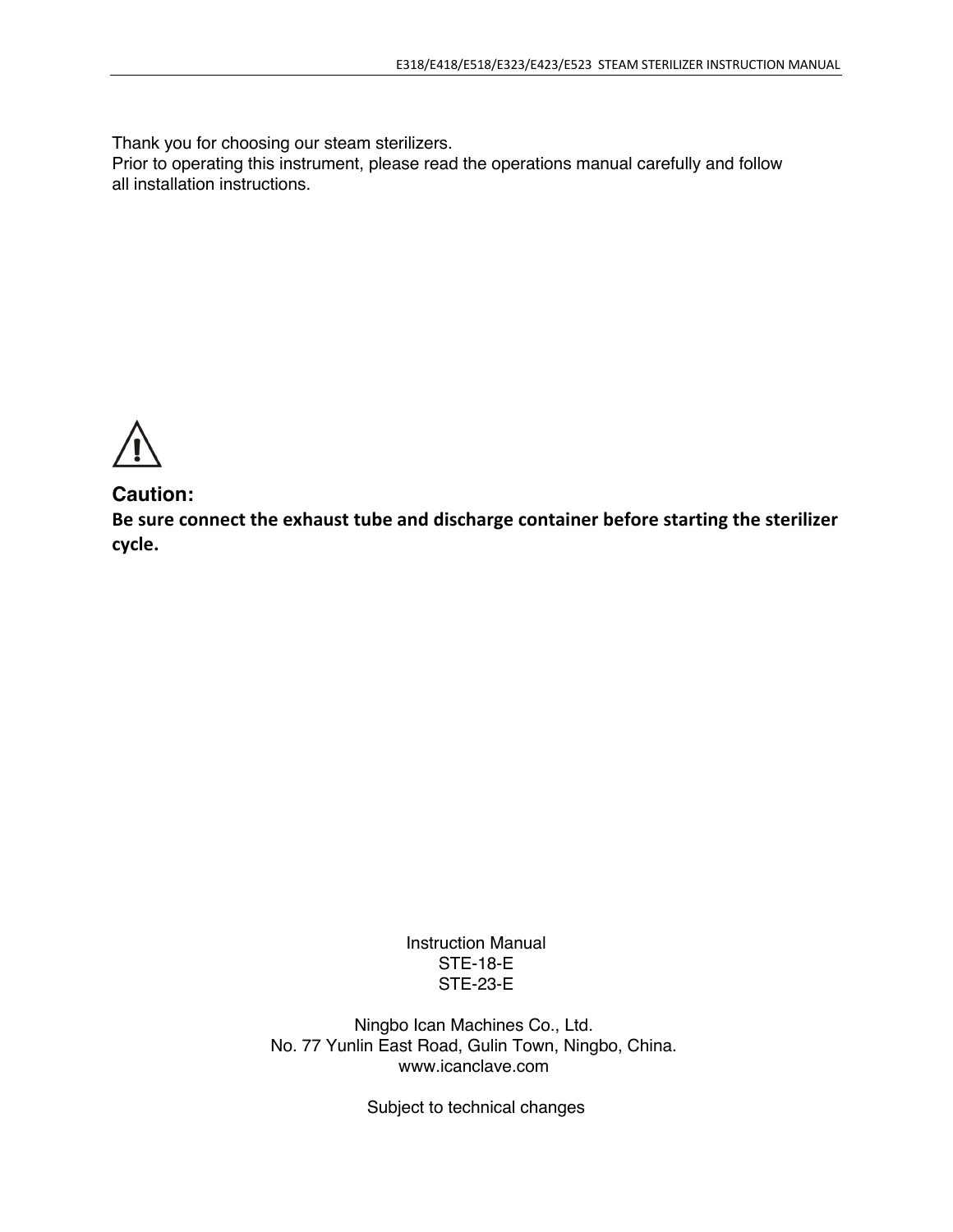Thank you for choosing our steam sterilizers.

Prior to operating this instrument, please read the operations manual carefully and follow all installation instructions.

## **Caution:**

**Be sure connect the exhaust tube and discharge container before starting the sterilizer cycle.**

> Instruction Manual STE-18-E STE-23-E

Ningbo Ican Machines Co., Ltd. No. 77 Yunlin East Road, Gulin Town, Ningbo, China. www.icanclave.com

Subject to technical changes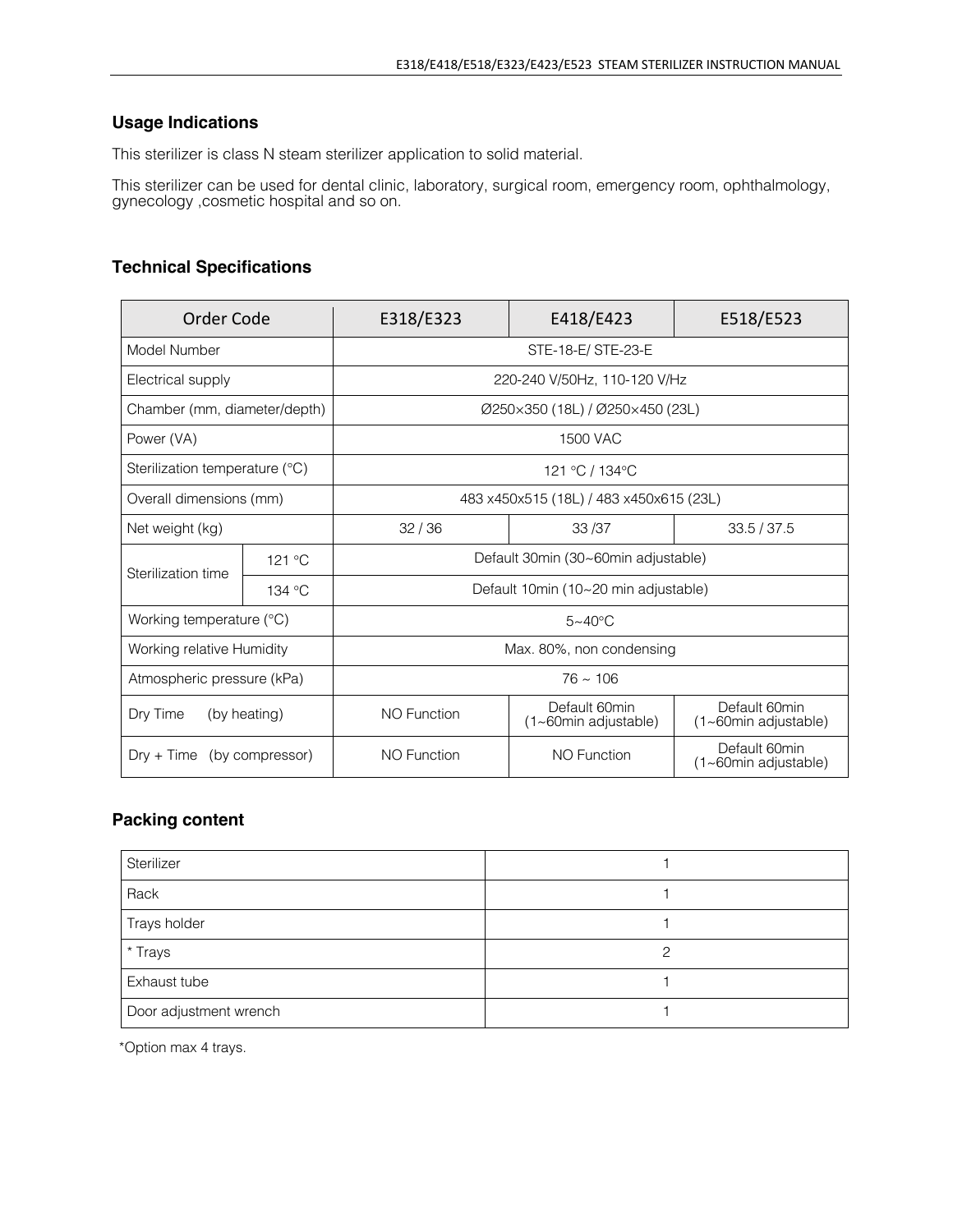### **Usage Indications**

This sterilizer is class N steam sterilizer application to solid material.

This sterilizer can be used for dental clinic, laboratory, surgical room, emergency room, ophthalmology, gynecology ,cosmetic hospital and so on.

#### **Technical Specifications**

| Order Code                      |        | E318/E323                               | E418/E423                             | E518/E523                                     |
|---------------------------------|--------|-----------------------------------------|---------------------------------------|-----------------------------------------------|
| Model Number                    |        | STE-18-E/STE-23-E                       |                                       |                                               |
| Electrical supply               |        | 220-240 V/50Hz, 110-120 V/Hz            |                                       |                                               |
| Chamber (mm, diameter/depth)    |        | Ø250×350 (18L) / Ø250×450 (23L)         |                                       |                                               |
| Power (VA)                      |        | 1500 VAC                                |                                       |                                               |
| Sterilization temperature (°C)  |        | 121 °C / 134 °C                         |                                       |                                               |
| Overall dimensions (mm)         |        | 483 x450x515 (18L) / 483 x450x615 (23L) |                                       |                                               |
| Net weight (kg)                 |        | 32/36                                   | 33/37                                 | 33.5 / 37.5                                   |
| Sterilization time              | 121 °C | Default 30min (30~60min adjustable)     |                                       |                                               |
|                                 | 134 °C | Default 10min (10~20 min adjustable)    |                                       |                                               |
| Working temperature (°C)        |        | $5 - 40$ °C                             |                                       |                                               |
| Working relative Humidity       |        | Max. 80%, non condensing                |                                       |                                               |
| Atmospheric pressure (kPa)      |        | $76 \approx 106$                        |                                       |                                               |
| Dry Time<br>(by heating)        |        | <b>NO Function</b>                      | Default 60min<br>(1~60min adjustable) | Default 60min<br>(1~60min adjustable)         |
| (by compressor)<br>$Drv + Time$ |        | <b>NO Function</b>                      | <b>NO Function</b>                    | Default 60min<br>$(1 \sim 60$ min adjustable) |

#### **Packing content**

| Sterilizer             |   |
|------------------------|---|
| Rack                   |   |
| Trays holder           |   |
| * Trays                | ∩ |
| Exhaust tube           |   |
| Door adjustment wrench |   |

\*Option max 4 trays.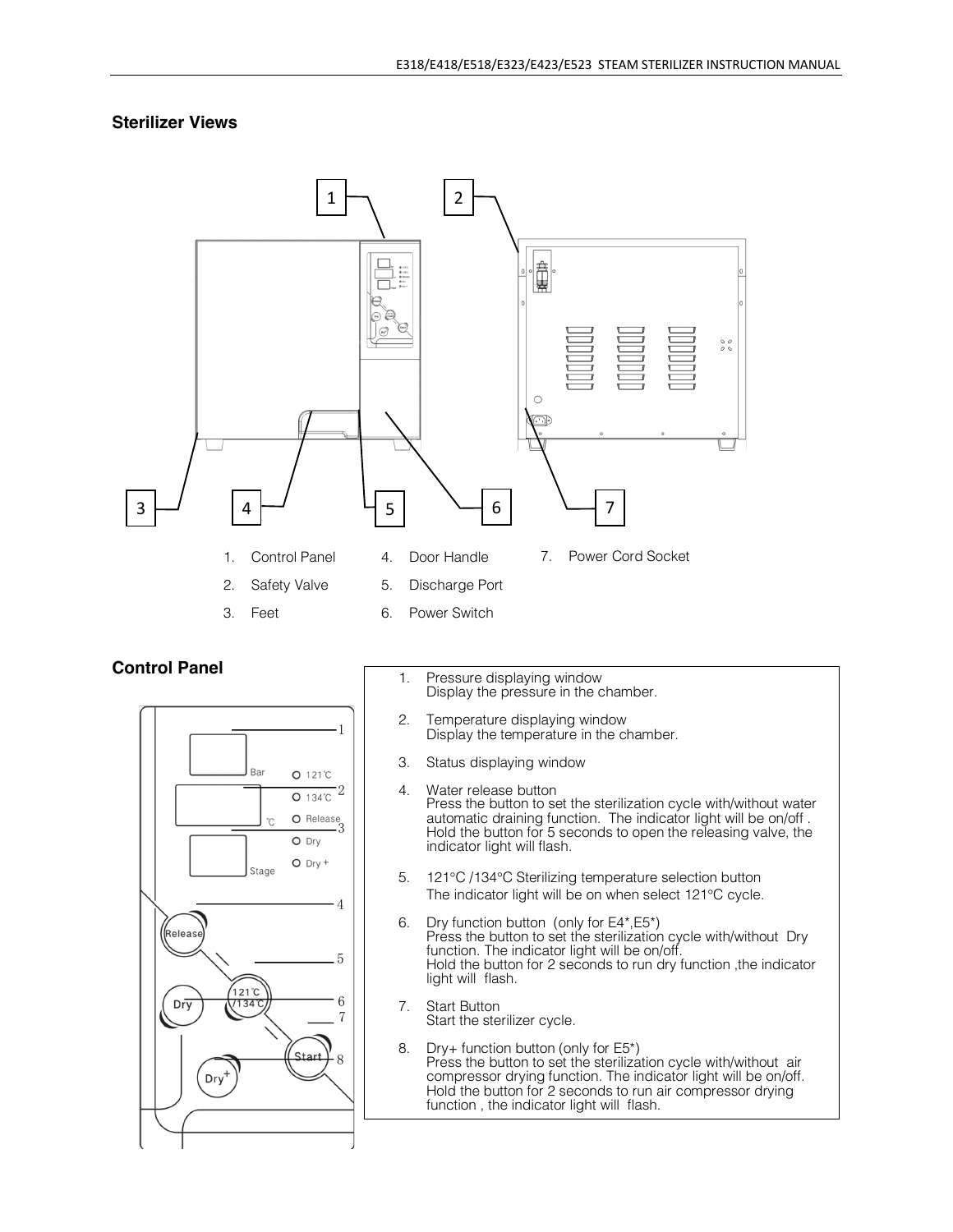#### **Sterilizer Views**



#### **Control Panel**



- 1. Pressure displaying window Display the pressure in the chamber.
- 2. Temperature displaying window Display the temperature in the chamber.
- 3. Status displaying window
- 4. Water release button Press the button to set the sterilization cycle with/without water automatic draining function. The indicator light will be on/off . Hold the button for <sup>5</sup> seconds to open the releasing valve, the indicator light will flash.
- 5. 121°C /134°C Sterilizing temperature selection button The indicator light will be on when select 121°C cycle.<br>6. Dry function button (only for  $E4^*E5^*$ )
- Dry function button (only for E4\*,E5\*) Press the button to set the sterilization cycle with/without Dry function. The indicator light will be on/off. Hold the button for 2 seconds to run dry function ,the indicator light will flash.
- 7. Start Button Start the sterilizer cycle.
- 8. Dry+ function button (only for E5\*) Press the button to set the sterilization cycle with/without air compressor drying function. The indicator light will be on/off. Hold the button for 2 seconds to run air compressor drying function , the indicator light will flash.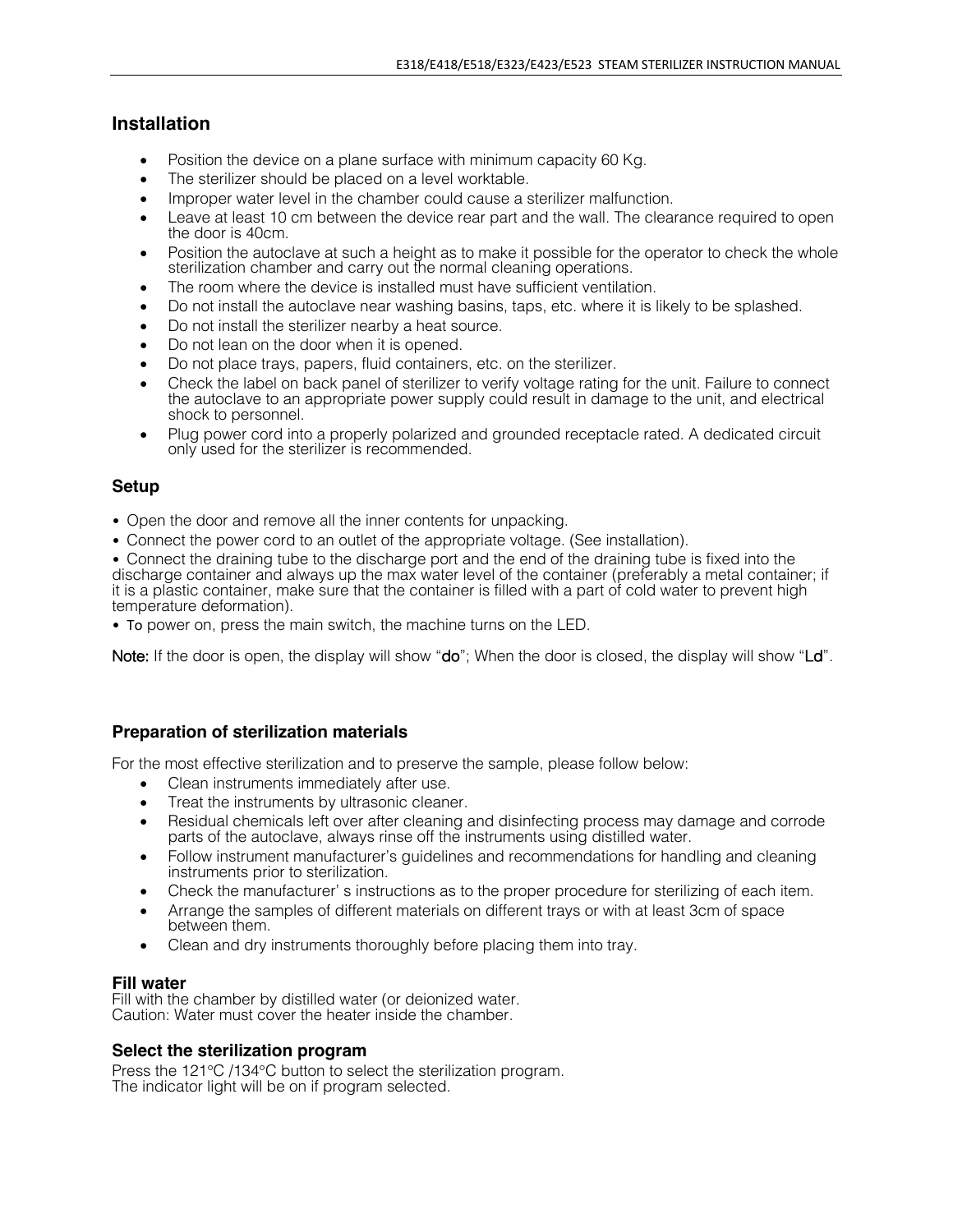#### **Installation**

- Position the device on a plane surface with minimum capacity 60 Kg.
- The sterilizer should be placed on a level worktable.
- Improper water level in the chamber could cause a sterilizer malfunction.
- Leave at least 10 cm between the device rear part and the wall. The clearance required to open the door is 40cm.
- Position the autoclave at such a height as to make it possible for the operator to check the whole sterilization chamber and carry out the normal cleaning operations.
- The room where the device is installed must have sufficient ventilation.
- Do not install the autoclave near washing basins, taps, etc. where it is likely to be splashed.
- Do not install the sterilizer nearby a heat source.
- Do not lean on the door when it is opened.
- Do not place trays, papers, fluid containers, etc. on the sterilizer.
- Check the label on back panel of sterilizer to verify voltage rating for the unit. Failure to connect the autoclave to an appropriate power supply could result in damage to the unit, and electrical shock to personnel.
- Plug power cord into a properly polarized and grounded receptacle rated. A dedicated circuit only used for the sterilizer is recommended.

#### **Setup**

- Open the door and remove all the inner contents for unpacking.
- Connect the power cord to an outlet of the appropriate voltage. (See installation).

• Connect the draining tube to the discharge port and the end of the draining tube is fixed into the discharge container and always up the max water level of the container (preferably a metal container; if it is a plastic container, make sure that the container is filled with a part of cold water to prevent high temperature deformation).

• To power on, press the main switch, the machine turns on the LED.

Note: If the door is open, the display will show "do"; When the door is closed, the display will show "Ld".

#### **Preparation of sterilization materials**

For the most effective sterilization and to preserve the sample, please follow below:

- Clean instruments immediately after use.
- Treat the instruments by ultrasonic cleaner.
- Residual chemicals left over after cleaning and disinfecting process may damage and corrode parts of the autoclave, always rinse off the instruments using distilled water.
- Follow instrument manufacturer's guidelines and recommendations for handling and cleaning instruments prior to sterilization.
- Check the manufacturer' s instructions as to the proper procedure for sterilizing of each item.
- Arrange the samples of different materials on different trays or with at least 3cm of space between them.
- Clean and dry instruments thoroughly before placing them into tray.

#### **Fill water**

Fill with the chamber by distilled water (or deionized water. Caution: Water must cover the heater inside the chamber.

#### **Select the sterilization program**

Press the 121°C /134°C button to select the sterilization program. The indicator light will be on if program selected.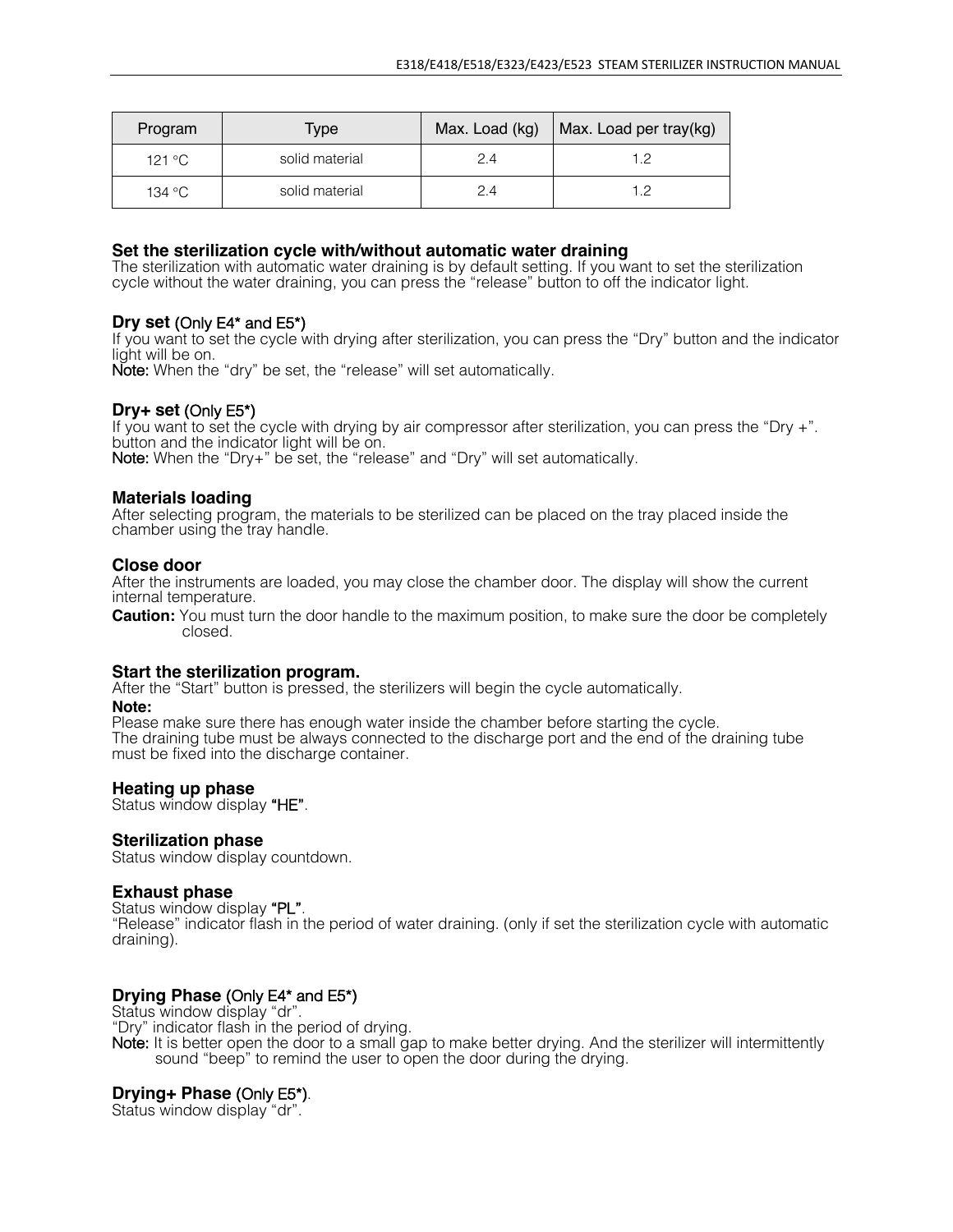| Program | Type           | Max. Load (kg) | Max. Load per tray(kg) |
|---------|----------------|----------------|------------------------|
| 121 °C  | solid material | 2.4            | 1 2                    |
| 134 °C  | solid material | 24             | 12                     |

#### **Set the sterilization cycle with/without automatic water draining**

The sterilization with automatic water draining is by default setting. If you want to set the sterilization cycle without the water draining, you can press the "release" button to off the indicator light.

#### **Dry set** (Only E4\* and E5\*)

If you want to set the cycle with drying after sterilization, you can press the "Dry" button and the indicator

Note: When the "dry" be set, the "release" will set automatically.

#### **Dry+ set** (Only E5\*)

If you want to set the cycle with drying by air compressor after sterilization, you can press the "Dry +".<br>button and the indicator light will be on. Note: When the "Dry+" be set, the "release" and "Dry" will set automatically.

#### **Materials loading**

After selecting program, the materials to be sterilized can be placed on the tray placed inside the chamber using the tray handle.

#### **Close door**

After the instruments are loaded, you may close the chamber door. The display will show the current internal temperature.

**Caution:** You must turn the door handle to the maximum position, to make sure the door be completely closed.

#### **Start the sterilization program.**

After the "Start" button is pressed, the sterilizers will begin the cycle automatically. **Note:**

Please make sure there has enough water inside the chamber before starting the cycle. The draining tube must be always connected to the discharge port and the end of the draining tube must be fixed into the discharge container.

#### **Heating up phase**

Status window display "HE".

#### **Sterilization phase**

Status window display countdown.

#### **Exhaust phase**

Status window display "PL".

"Release" indicator flash in the period of water draining. (only if set the sterilization cycle with automatic draining).

**Drying Phase (Only E4\* and E5\*)**<br>Status window display "dr".<br>"Dry" indicator flash in the period of drying.

Note: It is better open the door to a small gap to make better drying. And the sterilizer will intermittently sound "beep" to remind the user to open the door during the drying.

#### **Drying+ Phase** (Only E5\*).

Status window display "dr".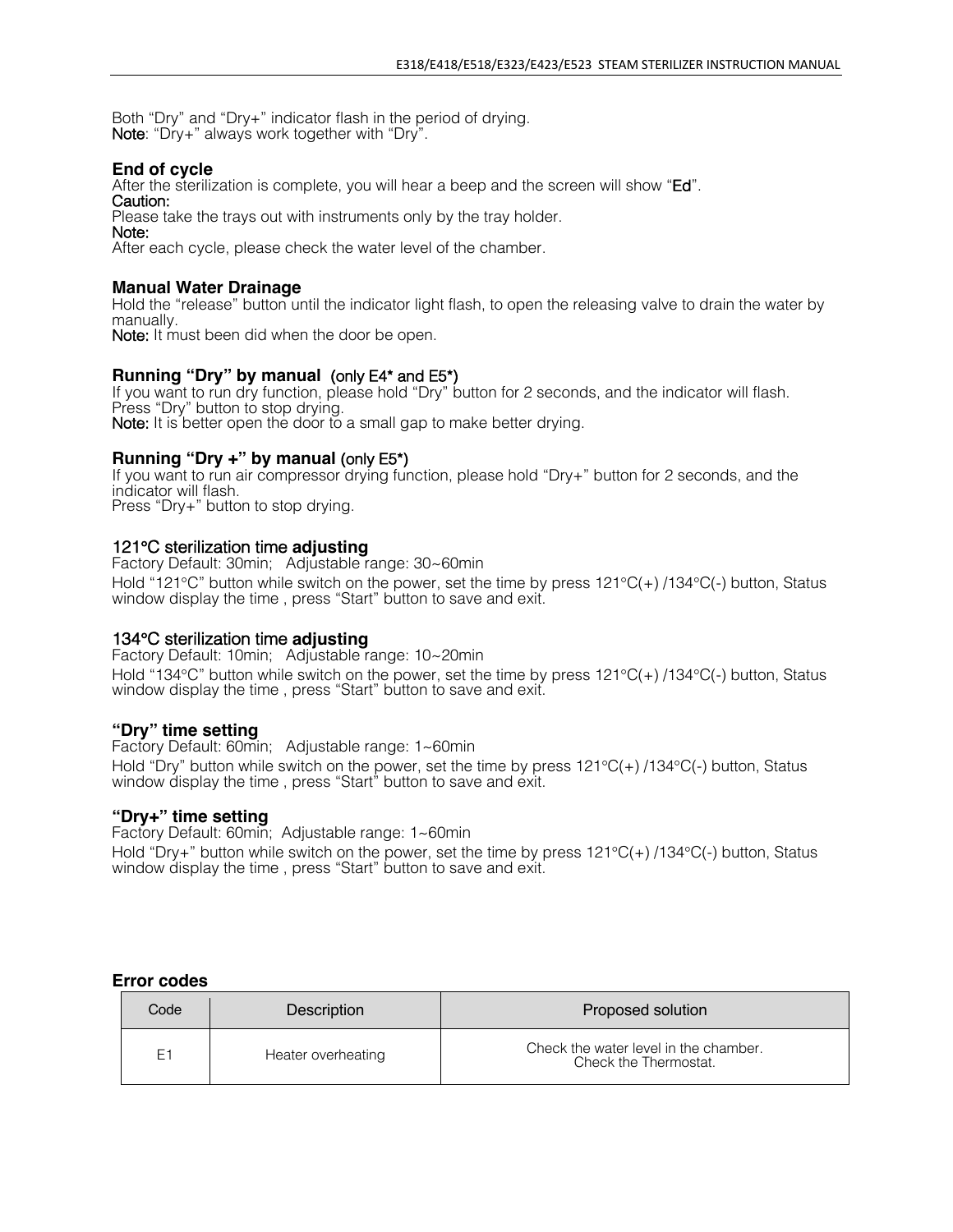Both "Dry" and "Dry+" indicator flash in the period of drying.<br>Note: "Dry+" always work together with "Dry".

#### **End of cycle**

After the sterilization is complete, you will hear a beep and the screen will show "Ed". Caution:

Please take the trays out with instruments only by the tray holder.

Note:

After each cycle, please check the water level of the chamber.

#### **Manual Water Drainage**

Hold the "release" button until the indicator light flash, to open the releasing valve to drain the water by manually.

Note: It must been did when the door be open.

#### **Running "Dry" by manual** (only E4\* and E5\*)

If you want to run dry function, please hold "Dry" button for 2 seconds, and the indicator will flash.<br>Press "Dry" button to stop drying. Note: It is better open the door to a small gap to make better drying.

#### **Running "Dry +" by manual** (only E5\*)

If you want to run air compressor drying function, please hold "Dry+" button for 2 seconds, and the indicator will flash. Press "Dry+" button to stop drying.

#### 121°C sterilization time **adjusting**

Factory Default: 30min; Adjustable range: 30~60min Hold "121°C" button while switch on the power, set the time by press 121°C(+) /134°C(-) button, Status window display the time, press "Start" button to save and exit.

#### 134°C sterilization time **adjusting**

Factory Default: 10min; Adjustable range: 10~20min Hold "134°C" button while switch on the power, set the time by press 121°C(+) /134°C(-) button, Status window display the time, press "Start" button to save and exit.

#### **"Dry" time setting**

Factory Default: 60min; Adjustable range: 1~60min Hold "Dry" button while switch on the power, set the time by press 121°C(+) /134°C(-) button, Status window display the time , press "Start" button to save and exit.

#### **"Dry+" time setting**

Factory Default: 60min; Adjustable range: 1~60min Hold "Dry+" button while switch on the power, set the time by press 121°C(+) /134°C(-) button, Status window display the time, press "Start" button to save and exit.

#### **Error codes**

| Code | Description        | Proposed solution                                              |
|------|--------------------|----------------------------------------------------------------|
| E1   | Heater overheating | Check the water level in the chamber.<br>Check the Thermostat. |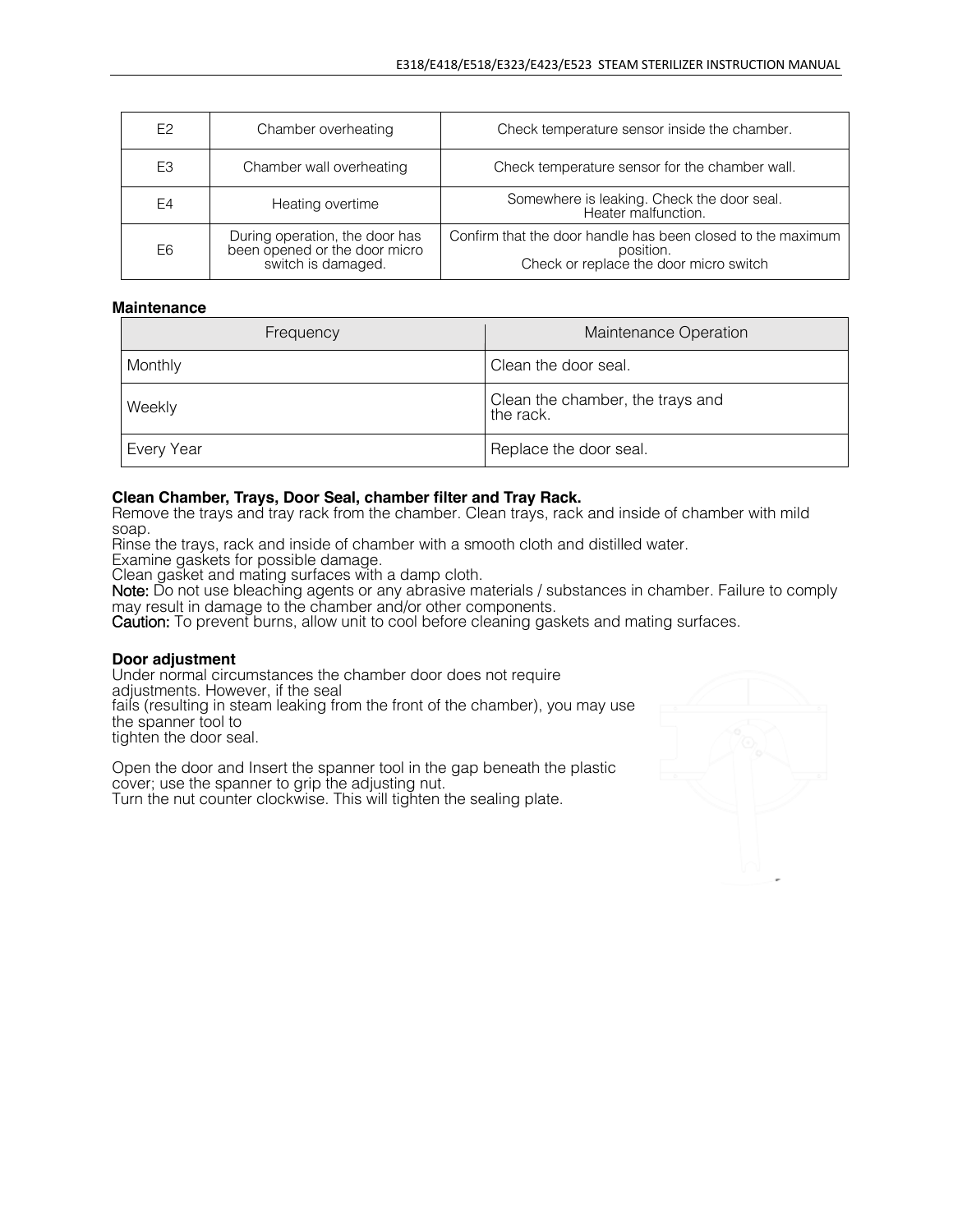| E <sub>2</sub> | Chamber overheating                                                                   | Check temperature sensor inside the chamber.                                                                       |
|----------------|---------------------------------------------------------------------------------------|--------------------------------------------------------------------------------------------------------------------|
| E <sub>3</sub> | Chamber wall overheating                                                              | Check temperature sensor for the chamber wall.                                                                     |
| E4             | Heating overtime                                                                      | Somewhere is leaking. Check the door seal.<br>Heater malfunction.                                                  |
| E6             | During operation, the door has<br>been opened or the door micro<br>switch is damaged. | Confirm that the door handle has been closed to the maximum<br>position.<br>Check or replace the door micro switch |

#### **Maintenance**

| Frequency  | Maintenance Operation                         |
|------------|-----------------------------------------------|
| Monthly    | Clean the door seal.                          |
| Weekly     | Clean the chamber, the trays and<br>the rack. |
| Every Year | Replace the door seal.                        |

#### **Clean Chamber, Trays, Door Seal, chamber filter and Tray Rack.**

Remove the trays and tray rack from the chamber. Clean trays, rack and inside of chamber with mild soap.

Rinse the trays, rack and inside of chamber with a smooth cloth and distilled water.

Examine gaskets for possible damage.

Clean gasket and mating surfaces with a damp cloth.

Note: Do not use bleaching agents or any abrasive materials / substances in chamber. Failure to comply may result in damage to the chamber and/or other components.

Caution: To prevent burns, allow unit to cool before cleaning gaskets and mating surfaces.

#### **Door adjustment**

Under normal circumstances the chamber door does not require adjustments. However, if the seal fails (resulting in steam leaking from the front of the chamber), you may use the spanner tool to tighten the door seal.

Open the door and Insert the spanner tool in the gap beneath the plastic cover; use the spanner to grip the adjusting nut. Turn the nut counter clockwise. This will tighten the sealing plate.